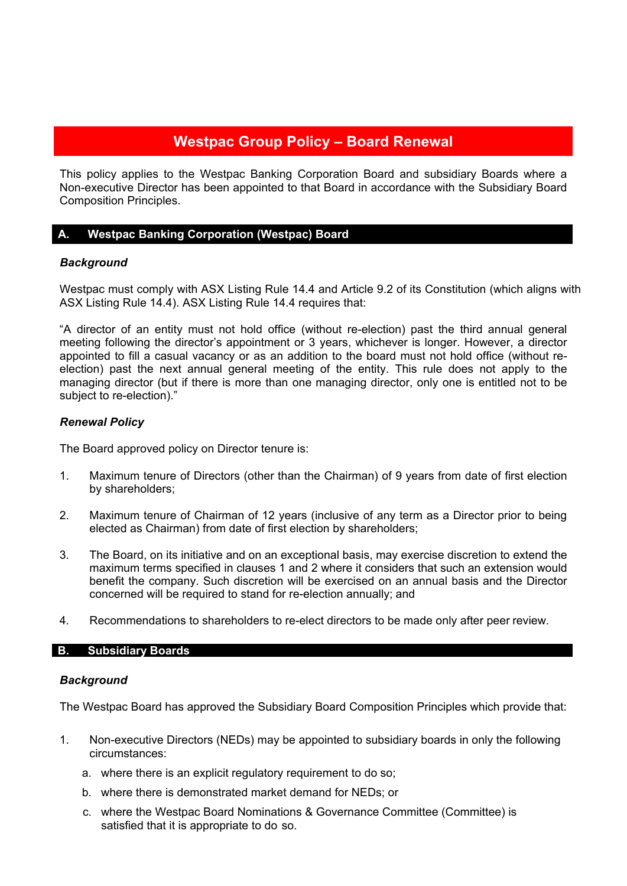# **Westpac Group Policy – Board Renewal**

This policy applies to the Westpac Banking Corporation Board and subsidiary Boards where a Non-executive Director has been appointed to that Board in accordance with the Subsidiary Board Composition Principles.

## **A. Westpac Banking Corporation (Westpac) Board**

## *Background*

Westpac must comply with ASX Listing Rule 14.4 and Article 9.2 of its Constitution (which aligns with ASX Listing Rule 14.4). ASX Listing Rule 14.4 requires that:

"A director of an entity must not hold office (without re-election) past the third annual general meeting following the director's appointment or 3 years, whichever is longer. However, a director appointed to fill a casual vacancy or as an addition to the board must not hold office (without reelection) past the next annual general meeting of the entity. This rule does not apply to the managing director (but if there is more than one managing director, only one is entitled not to be subject to re-election)."

## *Renewal Policy*

The Board approved policy on Director tenure is:

- 1. Maximum tenure of Directors (other than the Chairman) of 9 years from date of first election by shareholders;
- 2. Maximum tenure of Chairman of 12 years (inclusive of any term as a Director prior to being elected as Chairman) from date of first election by shareholders;
- 3. The Board, on its initiative and on an exceptional basis, may exercise discretion to extend the maximum terms specified in clauses 1 and 2 where it considers that such an extension would benefit the company. Such discretion will be exercised on an annual basis and the Director concerned will be required to stand for re-election annually; and
- 4. Recommendations to shareholders to re-elect directors to be made only after peer review.

#### **B. Subsidiary Boards**

## *Background*

The Westpac Board has approved the Subsidiary Board Composition Principles which provide that:

- 1. Non-executive Directors (NEDs) may be appointed to subsidiary boards in only the following circumstances:
	- a. where there is an explicit regulatory requirement to do so;
	- b. where there is demonstrated market demand for NEDs; or
	- c. where the Westpac Board Nominations & Governance Committee (Committee) is satisfied that it is appropriate to do so.